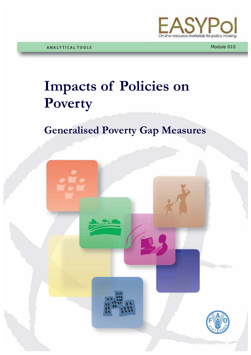

Module 010

# **Impacts of Policies on Poverty**

# **Generalised Poverty Gap Measures**

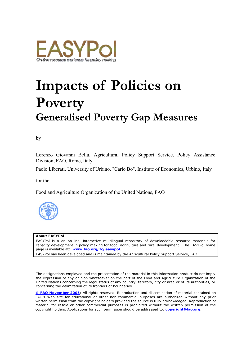

# **Impacts of Policies on Poverty Generalised Poverty Gap Measures**

by

Lorenzo Giovanni Bellù, Agricultural Policy Support Service, Policy Assistance Division, FAO, Rome, Italy

Paolo Liberati, University of Urbino, "Carlo Bo", Institute of Economics, Urbino, Italy

for the

Food and Agriculture Organization of the United Nations, FAO



#### **About EASYPol**

EASYPol is a an on-line, interactive multilingual repository of downloadable resource materials for capacity development in policy making for food, agriculture and rural development. The EASYPol home page is available at: *[www.fao.org/tc/easypol](http://www.fao.org/tc/easypol)*.

EASYPol has been developed and is maintained by the Agricultural Policy Support Service, FAO.

The designations employed and the presentation of the material in this information product do not imply the expression of any opinion whatsoever on the part of the Food and Agriculture Organization of the United Nations concerning the legal status of any country, territory, city or area or of its authorities, or concerning the delimitation of its frontiers or boundaries.

**[© FAO November 2005](http://www.fao.org/copyright_EN.htm)**: All rights reserved. Reproduction and dissemination of material contained on FAO's Web site for educational or other non-commercial purposes are authorized without any prior written permission from the copyright holders provided the source is fully acknowledged. Reproduction of material for resale or other commercial purposes is prohibited without the written permission of the copyright holders. Applications for such permission should be addressed to: **[copyright@fao.org](mailto:copyright@fao.org)**.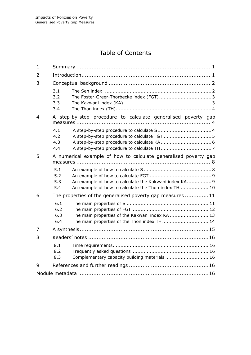# Table of Contents

| $\mathbf{1}$ |                                                               |                                                                                                               |  |  |  |  |  |
|--------------|---------------------------------------------------------------|---------------------------------------------------------------------------------------------------------------|--|--|--|--|--|
| 2            |                                                               |                                                                                                               |  |  |  |  |  |
| 3            |                                                               |                                                                                                               |  |  |  |  |  |
|              | 3.1<br>3.2<br>3.3<br>3.4                                      |                                                                                                               |  |  |  |  |  |
| 4            | A step-by-step procedure to calculate generalised poverty gap |                                                                                                               |  |  |  |  |  |
|              | 4.1<br>4.2<br>4.3<br>4.4                                      |                                                                                                               |  |  |  |  |  |
| 5            |                                                               | A numerical example of how to calculate generalised poverty gap                                               |  |  |  |  |  |
|              | 5.1<br>5.2<br>5.3<br>5.4                                      | An example of how to calculate the Kakwani index KA 9<br>An example of how to calculate the Thon index TH  10 |  |  |  |  |  |
| 6            |                                                               | The properties of the generalised poverty gap measures 11                                                     |  |  |  |  |  |
|              | 6.1<br>6.2<br>6.3<br>6.4                                      | The main properties of the Kakwani index KA  13<br>The main properties of the Thon index TH 14                |  |  |  |  |  |
| 7            |                                                               |                                                                                                               |  |  |  |  |  |
| 8            |                                                               |                                                                                                               |  |  |  |  |  |
|              | 8.1<br>8.2<br>8.3                                             | Complementary capacity building materials  16                                                                 |  |  |  |  |  |
| 9            |                                                               |                                                                                                               |  |  |  |  |  |
|              |                                                               |                                                                                                               |  |  |  |  |  |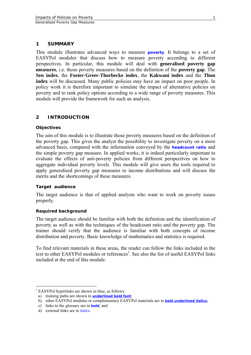## <span id="page-4-0"></span>**1 SUMMARY**

This module illustrates advanced ways to measure **[poverty](http://www.fao.org/tc/easypol/output/glossary_term.asp?id=15001)**. It belongs to a set of EASYPol modules that discuss how to measure poverty according to different perspectives. In particular, this module will deal with **generalised poverty gap measures**, i.e. those poverty measures based on the definition of the **poverty gap**. The **Sen index**, the **Foster-Greer-Thorbecke index**, the **Kakwani index** and the **Thon index** will be discussed. Many public policies may have an impact on poor people. In policy work it is therefore important to simulate the impact of alternative policies on poverty and to rank policy options according to a wide range of poverty measures. This module will provide the framework for such an analysis.

# **2 INTRODUCTION**

#### **Objectives**

The aim of this module is to illustrate those poverty measures based on the definition of the poverty gap. This gives the analyst the possibility to investigate poverty on a more advanced basis, compared with the information conveyed by the **[headcount ratio](http://www.fao.org/tc/easypol/output/glossary_term.asp?id=15049)** and the simple poverty gap measure. In applied works, it is indeed particularly important to evaluate the effects of anti-poverty policies from different perspectives on how to aggregate individual poverty levels. This module will give users the tools required to apply generalised poverty gap measures to income distributions and will discuss the merits and the shortcomings of these measures.

#### **Target audience**

The target audience is that of applied analysts who want to work on poverty issues properly.

#### **Required background**

The target audience should be familiar with both the definition and the identification of poverty as well as with the techniques of the headcount ratio and the poverty gap. The trainer should verify that the audience is familiar with both concepts of income distribution and poverty. Basic knowledge of mathematics and statistics is required.

To find relevant materials in these areas, the reader can follow the links included in the text to other EASYPol modules or references<sup>1</sup>. See also the list of useful EASYPol links included at the end of this module.

 $\overline{a}$ 

<span id="page-4-1"></span><sup>&</sup>lt;sup>1</sup> EASYPol hyperlinks are shown in blue, as follows:

a) training paths are shown in **underlined bold font**;

b) other EASYPol modules or complementary EASYPol materials are in *bold underlined italics*;

c) links to the glossary are in **bold**; and

d) external links are in *italics*.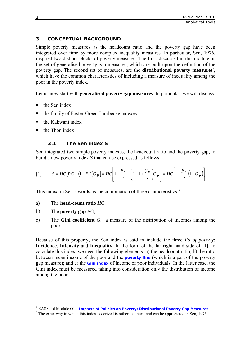# <span id="page-5-0"></span>**3 CONCEPTUAL BACKGROUND**

Simple poverty measures as the headcount ratio and the poverty gap have been integrated over time by more complex inequality measures. In particular, Sen, 1976, inspired two distinct blocks of poverty measures. The first, discussed in this module, is the set of generalised poverty gap measures, which are built upon the definition of the poverty gap. The second set of measures[,](#page-5-1) are the **distributional poverty measures**<sup>2</sup>, which have the common characteristics of including a measure of inequality among the poor in the poverty index.

Let us now start with **generalised poverty gap measures**. In particular, we will discuss:

- $\blacksquare$  the Sen index
- the family of Foster-Greer-Thorbecke indexes
- the Kakwani index
- the Thon index

# **3.1 The Sen index S**

Sen integrated two simple poverty indexes, the headcount ratio and the poverty gap, to build a new poverty index *S* that can be expressed as follows:

$$
\begin{bmatrix} 1 \end{bmatrix} \qquad S = HC[PG + (1 - PG)G_P] = HC\left[1 - \frac{\overline{y}_p}{z} + \left(1 - 1 + \frac{\overline{y}_p}{z}\right)G_p\right] = HC\left[1 - \frac{\overline{y}_p}{z}\left(1 - G_p\right)\right]
$$

This index, in Sen's words, is the combination of three characteristics:<sup>[3](#page-5-2)</sup>

- a) The **head-count ratio** *HC*;
- b) The **poverty gap** *PG*;

 $\overline{a}$ 

c) The **Gini coefficient** *GP*, a measure of the distribution of incomes among the poor.

Because of this property, the Sen index is said to include the three *I's of poverty*: **Incidence**, **Intensity** and **Inequality**. In the form of the far right hand side of [1], to calculate this index, we need the following elements: a) the headcount ratio; b) the ratio between mean income of the poor and the **[poverty line](http://www.fao.org/tc/easypol/output/glossary_term.asp?id=15041)** (which is a part of the poverty gap measure); and c) the **[Gini index](http://www.fao.org/tc/easypol/output/glossary_term.asp?id=14927)** of income of poor individuals. In the latter case, the Gini index must be measured taking into consideration only the distribution of income among the poor.

<span id="page-5-1"></span><sup>2</sup> EASYPol Module 009: *[Impacts of Policies on Poverty:](http://www.fao.org/docs/up/easypol/322/distributional-pvmsrs_009EN.pdf) Distributional Poverty Gap Measures*. <sup>3</sup>

<span id="page-5-2"></span><sup>&</sup>lt;sup>3</sup> The exact way in which this index is derived is rather technical and can be appreciated in Sen, 1976.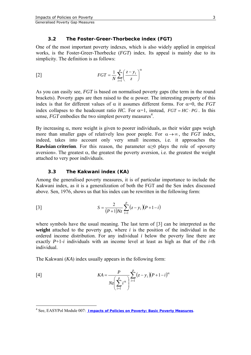#### **3.2 The Foster-Greer-Thorbecke index (FGT)**

<span id="page-6-0"></span>One of the most important poverty indexes, which is also widely applied in empirical works, is the Foster-Greer-Thorbecke (*FGT*) index. Its appeal is mainly due to its simplicity. The definition is as follows:

$$
FGT = \frac{1}{N} \sum_{i=1}^{p} \left(\frac{z - y_i}{z}\right)^{\alpha}
$$

As you can easily see, *FGT* is based on normalised poverty gaps (the term in the round brackets). Poverty gaps are then raised to the  $\alpha$  power. The interesting property of this index is that for different values of  $\alpha$  it assumes different forms. For  $\alpha=0$ , the *FGT* index collapses to the headcount ratio *HC*. For  $\alpha=1$ , instead,  $FGT = HC \cdot PG$ . In this sense, *FGT* embodies the two simplest poverty measures<sup>[4](#page-6-1)</sup>.

By increasing  $\alpha$ , more weight is given to poorer individuals, as their wider gaps weigh more than smaller gaps of relatively less poor people. For  $\alpha \rightarrow \infty$ , the *FGT* index, indeed, takes into account only very small incomes, i.e. it approaches the **Rawlsian criterion**. For this reason, the parameter  $\alpha \geq 0$  plays the role of «poverty aversion». The greatest  $α$ , the greatest the poverty aversion, i.e. the greatest the weight attached to very poor individuals.

#### **3.3 The Kakwani index (KA)**

Among the generalised poverty measures, it is of particular importance to include the Kakwani index, as it is a generalization of both the FGT and the Sen index discussed above. Sen, 1976, shows us that his index can be rewritten in the following form:

[3] 
$$
S = \frac{2}{(P+1)Nz} \sum_{i=1}^{p} (z - y_i)(P+1-i)
$$

where symbols have the usual meaning. The last term of [3] can be interpreted as the **weight** attached to the poverty gap, where *i* is the position of the individual in the ordered income distribution. For any individual *i* below the poverty line there are exactly  $P+1-i$  individuals with an income level at least as high as that of the *i*-th individual.

The Kakwani (*KA*) index usually appears in the following form:

$$
KA = \frac{P}{Nz\left(\sum_{i=1}^{p} i^{\alpha}\right)} \sum_{i=1}^{p} (z - y_i)(P + 1 - i)^{\alpha}
$$

 $\overline{a}$ 

<span id="page-6-1"></span><sup>4</sup> See, EASYPol Module 007: *Impacts of [Policies on Poverty: Basic](http://www.fao.org/docs/up/easypol/323/basic-pov-measures_007EN.pdf) Poverty Measures*.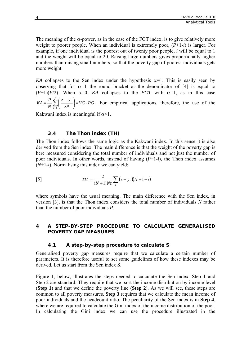<span id="page-7-0"></span>The meaning of the  $\alpha$ -power, as in the case of the FGT index, is to give relatively more weight to poorer people. When an individual is extremely poor, (*P*+1-*i*) is larger. For example, if one individual is the poorest out of twenty poor people, *i* will be equal to 1 and the weight will be equal to 20. Raising large numbers gives proportionally higher numbers than raising small numbers, so that the poverty gap of poorest individuals gets more weight.

*KA* collapses to the Sen index under the hypothesis  $\alpha=1$ . This is easily seen by observing that for  $\alpha=1$  the round bracket at the denominator of [4] is equal to  $(P+1)(P/2)$ . When  $\alpha=0$ , *KA* collapses to the *FGT* with  $\alpha=1$ , as in this case *HC PG zP z y N*  $KA = \frac{P}{P} \sum_{i=1}^{p}$  $\sum_{i=1}^{p} \left( \frac{z - y_i}{zP} \right) = HC$ .  $=\frac{P}{N}\sum_{i=1}^{p}\left(\frac{z-y_i}{zP}\right)=HC\cdot PG$ . For empirical applications, therefore, the use of the

Kakwani index is meaningful if  $\alpha$ >1.

#### **3.4 The Thon index (TH)**

The Thon index follows the same logic as the Kakwani index. In this sense it is also derived from the Sen index. The main difference is that the weight of the poverty gap is here measured considering the total number of individuals and not just the number of poor individuals. In other words, instead of having (*P*+1-*i*), the Thon index assumes (*N*+1-*i*). Normalising this index we can yield:

[5] 
$$
TH = \frac{2}{(N+1)Nz} \sum_{i} (z - y_i)(N+1-i)
$$

where symbols have the usual meaning. The main difference with the Sen index, in version [3], is that the Thon index considers the total number of individuals *N* rather than the number of poor individuals *P*.

## **4 A STEP-BY-STEP PROCEDURE TO CALCULATE GENERALISED POVERTY GAP MEASURES**

#### **4.1 A step-by-step procedure to calculate S**

Generalised poverty gap measures require that we calculate a certain number of parameters. It is therefore useful to set some guidelines of how these indexes may be derived. Let us start from the Sen index S.

Figure 1, below, illustrates the steps needed to calculate the Sen index. Step 1 and Step 2 are standard. They require that we sort the income distribution by income level (**Step 1**) and that we define the poverty line (**Step 2**). As we will see, these steps are common to all poverty measures. **Step 3** requires that we calculate the mean income of poor individuals and the headcount ratio. The peculiarity of the Sen index is in **Step 4**, where we are required to calculate the Gini index of the income distribution of the poor. In calculating the Gini index we can use the procedure illustrated in the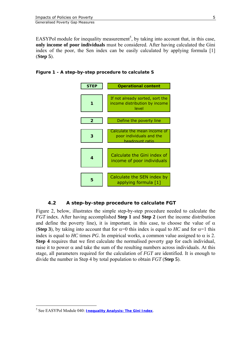<span id="page-8-0"></span>EASYPol module for inequality measurement<sup>[5](#page-8-1)</sup>, by taking into account that, in this case, **only income of poor individuals** must be considered. After having calculated the Gini index of the poor, the Sen index can be easily calculated by applying formula [1] (**Step 5**).





# **4.2 A step-by-step procedure to calculate FGT**

Figure 2, below, illustrates the simple step-by-step procedure needed to calculate the *FGT* index. After having accomplished **Step 1** and **Step 2** (sort the income distribution and define the poverty line), it is important, in this case, to choose the value of  $\alpha$ (**Step 3**), by taking into account that for  $\alpha=0$  this index is equal to *HC* and for  $\alpha=1$  this index is equal to *HC* times *PG*. In empirical works, a common value assigned to  $\alpha$  is 2. **Step 4** requires that we first calculate the normalised poverty gap for each individual, raise it to power  $\alpha$  and take the sum of the resulting numbers across individuals. At this stage, all parameters required for the calculation of *FGT* are identified. It is enough to divide the number in Step 4 by total population to obtain *FGT* (**Step 5**).

 $\overline{a}$ 

<span id="page-8-1"></span><sup>5</sup> See EASYPol Module 040: *[Inequality Analysis:](http://www.fao.org/docs/up/easypol/329/gini_index_040EN.pdf) The Gini Index*.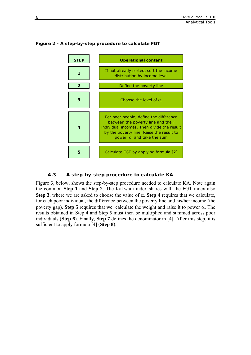

### <span id="page-9-0"></span>**Figure 2 - A step-by-step procedure to calculate FGT**

# **4.3 A step-by-step procedure to calculate KA**

Figure 3, below, shows the step-by-step procedure needed to calculate KA. Note again the common **Step 1** and **Step 2**. The Kakwani index shares with the FGT index also **Step 3**, where we are asked to choose the value of  $\alpha$ . **Step 4** requires that we calculate, for each poor individual, the difference between the poverty line and his/her income (the poverty gap). **Step 5** requires that we calculate the weight and raise it to power α. The results obtained in Step 4 and Step 5 must then be multiplied and summed across poor individuals (**Step 6**). Finally, **Step 7** defines the denominator in [4]. After this step, it is sufficient to apply formula [4] (**Step 8**).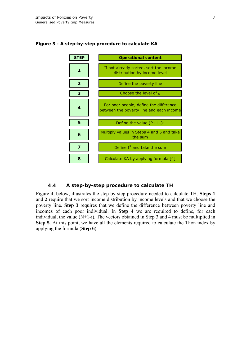

#### <span id="page-10-0"></span>**Figure 3 - A step-by-step procedure to calculate KA**

#### **4.4 A step-by-step procedure to calculate TH**

Figure 4, below, illustrates the step-by-step procedure needed to calculate TH. **Steps 1** and **2** require that we sort income distribution by income levels and that we choose the poverty line. **Step 3** requires that we define the difference between poverty line and incomes of each poor individual. In **Step 4** we are required to define, for each individual, the value (N+1-i). The vectors obtained in Step 3 and 4 must be multiplied in **Step 5**. At this point, we have all the elements required to calculate the Thon index by applying the formula (**Step 6**).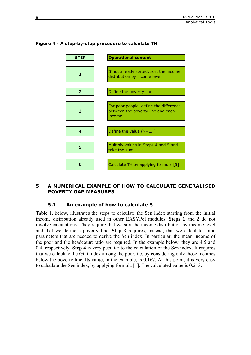

# <span id="page-11-0"></span>**Figure 4 - A step-by-step procedure to calculate TH**

#### **5 A NUMERICAL EXAMPLE OF HOW TO CALCULATE GENERALISED POVERTY GAP MEASURES**

#### **5.1 An example of how to calculate S**

Table 1, below, illustrates the steps to calculate the Sen index starting from the initial income distribution already used in other EASYPol modules. **Steps 1** and **2** do not involve calculations. They require that we sort the income distribution by income level and that we define a poverty line. **Step 3** requires, instead, that we calculate some parameters that are needed to derive the Sen index. In particular, the mean income of the poor and the headcount ratio are required. In the example below, they are 4.5 and 0.4, respectively. **Step 4** is very peculiar to the calculation of the Sen index. It requires that we calculate the Gini index among the poor, i.e. by considering only those incomes below the poverty line. Its value, in the example, is 0.167. At this point, it is very easy to calculate the Sen index, by applying formula [1]. The calculated value is 0.213.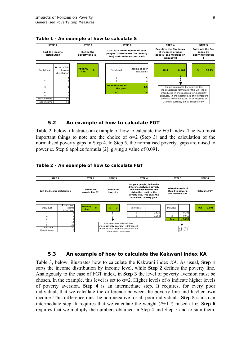

<span id="page-12-0"></span>

#### **5.2 An example of how to calculate FGT**

Table 2, below, illustrates an example of how to calculate the FGT index. The two most important things to note are the choice of  $\alpha=2$  (Step 3) and the calculation of the normalised poverty gaps in Step 4. In Step 5, the normalised poverty gaps are raised to power α. Step 6 applies formula [2], giving a value of 0.091.

#### **Table 2 - An example of how to calculate FGT**



#### **5.3 An example of how to calculate the Kakwani index KA**

Table 3, below, illustrates how to calculate the Kakwani index *KA*. As usual, **Step 1** sorts the income distribution by income level, while **Step 2** defines the poverty line. Analogously to the case of FGT index, in **Step 3** the level of poverty aversion must be chosen. In the example, this level is set to  $\alpha$ =2. Higher levels of  $\alpha$  indicate higher levels of poverty aversion. **Step 4** is an intermediate step. It requires, for every poor individual, that we calculate the difference between the poverty line and his/her own income. This difference must be non-negative for all poor individuals. **Step 5** is also an intermediate step. It requires that we calculate the weight  $(P+1-i)$  raised at  $\alpha$ . **Step 6** requires that we multiply the numbers obtained in Step 4 and Step 5 and to sum them.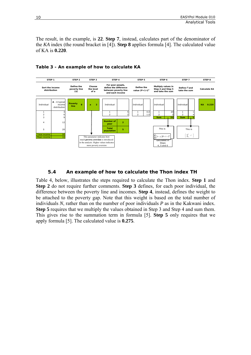<span id="page-13-0"></span>The result, in the example, is **22**. **Step 7**, instead, calculates part of the denominator of the *KA* index (the round bracket in [4]). **Step 8** applies formula [4]. The calculated value of KA is **0.220**.



#### **Table 3 - An example of how to calculate KA**

#### **5.4 An example of how to calculate the Thon index TH**

Table 4, below, illustrates the steps required to calculate the Thon index. **Step 1** and **Step 2** do not require further comments. **Step 3** defines, for each poor individual, the difference between the poverty line and incomes. **Step 4**, instead, defines the weight to be attached to the poverty gap. Note that this weight is based on the total number of individuals *N*, rather than on the number of poor individuals *P* as in the Kakwani index. **Step 5** requires that we multiply the values obtained in Step 3 and Step 4 and sum them. This gives rise to the summation term in formula [5]. **Step 5** only requires that we apply formula [5]. The calculated value is **0.275**.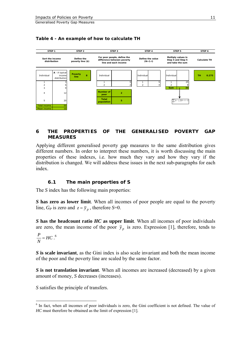

#### <span id="page-14-0"></span>**Table 4 - An example of how to calculate TH**

# **6 THE PROPERTIES OF THE GENERALISED POVERTY GAP MEASURES**

Applying different generalised poverty gap measures to the same distribution gives different numbers. In order to interpret these numbers, it is worth discussing the main properties of these indexes, i.e. how much they vary and how they vary if the distribution is changed. We will address these issues in the next sub-paragraphs for each index.

# **6.1 The main properties of S**

The *S* index has the following main properties:

*S* **has zero as lower limit**. When all incomes of poor people are equal to the poverty line,  $G_P$  is zero and  $z = \overline{y}_p$ , therefore *S*=0.

*S* **has the headcount ratio** *HC* **as upper limit**. When all incomes of poor individuals are zero, the mean income of the poor  $\bar{y}_p$  is zero. Expression [1], therefore, tends to

$$
\frac{P}{N} = HC^{6}
$$

 $\overline{a}$ 

*S* **is scale invariant**, as the Gini index is also scale invariant and both the mean income of the poor and the poverty line are scaled by the same factor.

*S* **is not translation invariant**. When all incomes are increased (decreased) by a given amount of money, *S* decreases (increases).

*S* satisfies the principle of transfers.

<span id="page-14-1"></span><sup>&</sup>lt;sup>6</sup> In fact, when all incomes of poor individuals is zero, the Gini coefficient is not defined. The value of *HC* must therefore be obtained as the limit of expression [1].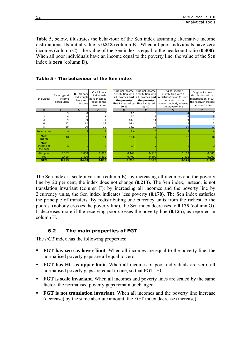<span id="page-15-0"></span>Table 5, below, illustrates the behaviour of the Sen index assuming alternative income distributions. Its initial value is **0.213** (column B). When all poor individuals have zero incomes (column C), the value of the Sen index is equal to the headcount ratio (**0.400**). When all poor individuals have an income equal to the poverty line, the value of the Sen index is **zero** (column D).



| Individual                    | A - A typical<br>income<br>distribution | $B - All poor$<br>individuals<br>have zero<br>income | C - All poor<br>individuals<br>have incomes<br>equal to the<br>poverty line | Original income<br>distribution with<br>all incomes and<br>the poverty<br>line increased by<br>20 % | Original income<br>distribution with<br>all incomes and<br>the poverty<br>line increased<br>by $$2$ | Original income<br>distribution with a<br>redistribution of \$1 from<br>the richest to the<br>poorest, nobody crosses<br>the poverty line | Original income<br>distribution with a<br>redistribution of \$3,<br>the receiver crosses<br>the poverty line |
|-------------------------------|-----------------------------------------|------------------------------------------------------|-----------------------------------------------------------------------------|-----------------------------------------------------------------------------------------------------|-----------------------------------------------------------------------------------------------------|-------------------------------------------------------------------------------------------------------------------------------------------|--------------------------------------------------------------------------------------------------------------|
| A                             | B                                       | $\mathbf{c}$                                         | D                                                                           | Е                                                                                                   |                                                                                                     | G                                                                                                                                         | н                                                                                                            |
|                               |                                         |                                                      |                                                                             | 3.6                                                                                                 |                                                                                                     |                                                                                                                                           |                                                                                                              |
|                               |                                         |                                                      |                                                                             | 7.2                                                                                                 |                                                                                                     |                                                                                                                                           |                                                                                                              |
|                               |                                         |                                                      |                                                                             | 10.8                                                                                                | 11                                                                                                  |                                                                                                                                           | 9                                                                                                            |
|                               | 12                                      | 12                                                   | 12                                                                          | 14.4                                                                                                | 14                                                                                                  |                                                                                                                                           | 12                                                                                                           |
|                               | 20 <sup>1</sup>                         | 20                                                   | 20                                                                          | 24.0                                                                                                | 22                                                                                                  | 19                                                                                                                                        | 17                                                                                                           |
| Poverty line                  |                                         |                                                      |                                                                             | 9.6                                                                                                 | 10                                                                                                  |                                                                                                                                           |                                                                                                              |
| Mean<br>income                | 10                                      |                                                      | 11                                                                          | 12.0                                                                                                | 12                                                                                                  | 10                                                                                                                                        | 10                                                                                                           |
| Mean<br>income of<br>the poor |                                         |                                                      |                                                                             | 5.4                                                                                                 |                                                                                                     |                                                                                                                                           |                                                                                                              |
| Gini poor                     | 0.167                                   | 0.000                                                | 0.000                                                                       | 0.167                                                                                               | 0.115                                                                                               | 0.100                                                                                                                                     | 0.000                                                                                                        |
| HC                            | 0.400                                   | 0.400                                                | 0.400                                                                       | 0.400                                                                                               | 0.400                                                                                               | 0.400                                                                                                                                     | 0.200                                                                                                        |
| <b>SEN</b>                    | 0.213                                   | 0.400                                                | 0.000                                                                       | 0.213                                                                                               | 0.170                                                                                               | 0.175                                                                                                                                     | 0.125                                                                                                        |

The Sen index is scale invariant (column E): by increasing all incomes and the poverty line by 20 per cent, the index does not change (**0.213**). The Sen index, instead, is not translation invariant (column F): by increasing all incomes and the poverty line by 2 currency units, the Sen index indicates less poverty (**0.170**). The Sen index satisfies the principle of transfers. By redistributing one currency units from the richest to the poorest (nobody crosses the poverty line), the Sen index decreases to **0.175** (column G). It decreases more if the receiving poor crosses the poverty line (**0.125**), as reported in column H.

# **6.2 The main properties of FGT**

The *FGT* index has the following properties:

- **FGT has zero as lower limit**. When all incomes are equal to the poverty line, the normalised poverty gaps are all equal to zero.
- **FGT has HC as upper limit**. When all incomes of poor individuals are zero, all normalised poverty gaps are equal to one, so that FGT=HC.
- **FGT is scale invariant**. When all incomes and poverty lines are scaled by the same factor, the normalised poverty gaps remain unchanged.
- **FGT is not translation invariant**. When all incomes and the poverty line increase (decrease) by the same absolute amount, the FGT index decrease (increase).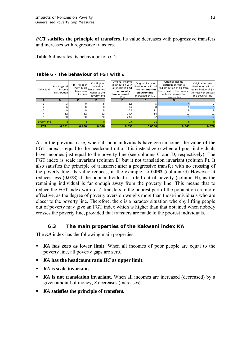<span id="page-16-0"></span>*FGT* **satisfies the principle of transfers**. Its value decreases with progressive transfers and increases with regressive transfers.

Table 6 illustrates its behaviour for  $\alpha = 2$ .

| Individual          | $A - A$ typical<br>incomel<br>distribution | $B - All poor$<br>individuals<br>have zerol<br>income | C - All poor<br>individuals<br>have incomes<br>equal to the<br>poverty line | Original income<br>distribution with<br>all incomes and<br>the poverty<br>line increased by<br>20% | Original income<br>distribution with all<br>incomes and the<br>poverty line<br>increased by \$2 | Original income<br>distribution with a<br>redistribution of \$1 from<br>the richest to the poorest,<br>nobody crosses the<br>poverty line | Original income<br>distribution with a<br>redistribution of \$3,<br>the receiver crosses<br>the poverty line |
|---------------------|--------------------------------------------|-------------------------------------------------------|-----------------------------------------------------------------------------|----------------------------------------------------------------------------------------------------|-------------------------------------------------------------------------------------------------|-------------------------------------------------------------------------------------------------------------------------------------------|--------------------------------------------------------------------------------------------------------------|
| A                   | в                                          | C                                                     | D                                                                           |                                                                                                    |                                                                                                 | G                                                                                                                                         | H                                                                                                            |
|                     |                                            |                                                       |                                                                             | 3.6                                                                                                |                                                                                                 |                                                                                                                                           |                                                                                                              |
|                     |                                            |                                                       |                                                                             | 7.2                                                                                                |                                                                                                 |                                                                                                                                           |                                                                                                              |
|                     |                                            |                                                       |                                                                             | 10.8                                                                                               |                                                                                                 |                                                                                                                                           |                                                                                                              |
|                     | 12                                         | 12                                                    | 12                                                                          | 14.4                                                                                               | 14                                                                                              |                                                                                                                                           | 12                                                                                                           |
|                     | 20 <sup>1</sup>                            | 20                                                    | 20                                                                          | 24.0                                                                                               | 22                                                                                              | 19                                                                                                                                        |                                                                                                              |
| <b>Poverty line</b> |                                            |                                                       |                                                                             | 9.6                                                                                                |                                                                                                 |                                                                                                                                           |                                                                                                              |
| <b>FGT</b>          | 0.091                                      | 0.400                                                 | 0.000                                                                       | 0.091                                                                                              | 0.0580                                                                                          | 0.063                                                                                                                                     | 0.078                                                                                                        |

# **Table 6 - The behaviour of FGT with** α

As in the previous case, when all poor individuals have zero income, the value of the FGT index is equal to the headcount ratio. It is instead zero when all poor individuals have incomes just equal to the poverty line (see columns C and D, respectively). The FGT index is scale invariant (column E) but it not translation invariant (column F). It also satisfies the principle of transfers; after a progressive transfer with no crossing of the poverty line, its value reduces, in the example, to **0.063** (column G) However, it reduces less (**0.078**) if the poor individual is lifted out of poverty (column H), as the remaining individual is far enough away from the poverty line. This means that to reduce the FGT index with  $\alpha=2$ , transfers to the poorest part of the population are more effective, as the degree of poverty aversion weighs more than those individuals who are closer to the poverty line. Therefore, there is a paradox situation whereby lifting people out of poverty may give an FGT index which is higher than that obtained when nobody crosses the poverty line, provided that transfers are made to the poorest individuals.

# **6.3 The main properties of the Kakwani index KA**

The *KA* index has the following main properties:

- *KA* **has zero as lower limit**. When all incomes of poor people are equal to the poverty line, all poverty gaps are zero.
- *KA* **has the headcount ratio** *HC* **as upper limit**.
- *KA* **is scale invariant.**
- *KA* **is not translation invariant**. When all incomes are increased (decreased) by a given amount of money, *S* decreases (increases).
- *KA* **satisfies the principle of transfers.**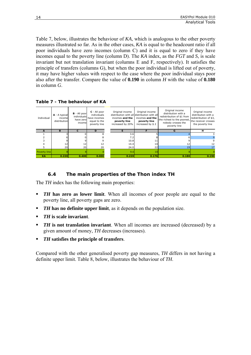<span id="page-17-0"></span>Table 7, below, illustrates the behaviour of *KA*, which is analogous to the other poverty measures illustrated so far. As in the other cases, *KA* is equal to the headcount ratio if all poor individuals have zero incomes (column C) and it is equal to zero if they have incomes equal to the poverty line (column D). The *KA* index, as the *FGT* and *S*, is scale invariant but not translation invariant (columns E and F, respectively). It satisfies the principle of transfers (columns G), but when the poor individual is lifted out of poverty, it may have higher values with respect to the case where the poor individual stays poor also after the transfer. Compare the value of **0.190** in column *H* with the value of **0.180** in column *G*.

**Table 7 - The behaviour of KA**

| Individual   | $A - A$ typical<br>income<br>distribution | $B - All poor$<br>individuals<br>have zerol<br>income | C - All poor<br>individuals<br>have incomes<br>equal to the<br>poverty line | Original income<br>incomes and the<br>poverty line<br>increased by 20% | Original income<br>distribution with all distribution with all<br>incomes and the<br>poverty line<br>increased by \$2 | Original income<br>distribution with a<br>redistribution of \$1 from<br>the richest to the poorest,<br>nobody crosses the<br>poverty line | Original income<br>distribution with a<br>redistribution of \$3,<br>the receiver crosses<br>the poverty line |
|--------------|-------------------------------------------|-------------------------------------------------------|-----------------------------------------------------------------------------|------------------------------------------------------------------------|-----------------------------------------------------------------------------------------------------------------------|-------------------------------------------------------------------------------------------------------------------------------------------|--------------------------------------------------------------------------------------------------------------|
|              | B                                         | c                                                     | D                                                                           |                                                                        |                                                                                                                       | G                                                                                                                                         | н                                                                                                            |
|              |                                           |                                                       |                                                                             | 3.6                                                                    |                                                                                                                       |                                                                                                                                           |                                                                                                              |
|              |                                           |                                                       |                                                                             | 7.2                                                                    |                                                                                                                       |                                                                                                                                           |                                                                                                              |
|              |                                           |                                                       |                                                                             | 10.8                                                                   |                                                                                                                       |                                                                                                                                           |                                                                                                              |
|              | 12                                        | 12                                                    |                                                                             | 14.4                                                                   | 14                                                                                                                    |                                                                                                                                           | 12                                                                                                           |
|              | 20 <sup>1</sup>                           | 20                                                    | 20                                                                          | 24.0                                                                   | 22                                                                                                                    | 19                                                                                                                                        |                                                                                                              |
| Poverty line |                                           |                                                       |                                                                             | 9.6                                                                    | 10                                                                                                                    |                                                                                                                                           |                                                                                                              |
| <b>KA</b>    | 0.220                                     | 0.400                                                 | 0.000                                                                       | 0.220                                                                  | 0.176                                                                                                                 | 0.180                                                                                                                                     | 0.190                                                                                                        |

# **6.4 The main properties of the Thon index TH**

The *TH* index has the following main properties:

- *TH* has zero as lower limit. When all incomes of poor people are equal to the poverty line, all poverty gaps are zero.
- **TH** has no definite upper limit, as it depends on the population size.
- *TH* **is scale invariant**.
- *TH* **is not translation invariant**. When all incomes are increased (decreased) by a given amount of money, *TH* decreases (increases).
- *TH* **satisfies the principle of transfers**.

Compared with the other generalised poverty gap measures, *TH* differs in not having a definite upper limit. Table 8, below, illustrates the behaviour of *TH*.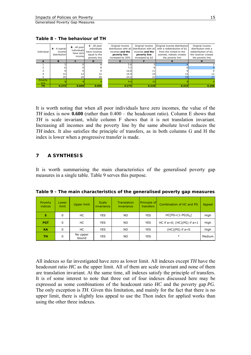<span id="page-18-0"></span>**Table 8 - The behaviour of TH**

| Individual              | A - A typical<br>income<br>distribution | <b>B</b> - All poor<br>individuals<br>have zero<br>income | C - All poor<br>individuals<br>have incomes<br>equal to the<br>poverty line | Original income<br>incomes and the<br>poverty line<br>increased by 20% | Original income<br>distribution with all distribution with all<br>incomes and the<br>poverty line<br>increased by \$2 | Original income distribution<br>with a redistribution of \$1<br>from the richest to the<br>poorest, nobody crosses<br>the poverty line | Original income<br>distribution with a<br>redistribution of \$3.<br>the receiver crosses<br>the poverty line |
|-------------------------|-----------------------------------------|-----------------------------------------------------------|-----------------------------------------------------------------------------|------------------------------------------------------------------------|-----------------------------------------------------------------------------------------------------------------------|----------------------------------------------------------------------------------------------------------------------------------------|--------------------------------------------------------------------------------------------------------------|
|                         | в                                       |                                                           | ח                                                                           |                                                                        |                                                                                                                       |                                                                                                                                        |                                                                                                              |
|                         |                                         |                                                           |                                                                             | 3.6                                                                    |                                                                                                                       |                                                                                                                                        |                                                                                                              |
|                         |                                         |                                                           |                                                                             | 7.2                                                                    |                                                                                                                       |                                                                                                                                        |                                                                                                              |
|                         |                                         |                                                           |                                                                             | 10.8                                                                   |                                                                                                                       |                                                                                                                                        |                                                                                                              |
|                         | 12                                      |                                                           |                                                                             | 14.4                                                                   | 14                                                                                                                    |                                                                                                                                        |                                                                                                              |
|                         | 20 <sup>1</sup>                         | 20                                                        | 20                                                                          | 24.0                                                                   | 22                                                                                                                    | 19                                                                                                                                     |                                                                                                              |
| Poverty<br><u>line.</u> |                                         |                                                           |                                                                             | 9.6                                                                    |                                                                                                                       |                                                                                                                                        |                                                                                                              |
| <b>TH</b>               | 0.275                                   | 0.600                                                     | 0.000                                                                       | 0.275                                                                  | 0.220                                                                                                                 | 0.233                                                                                                                                  | 0.208                                                                                                        |

It is worth noting that when all poor individuals have zero incomes, the value of the *TH* index is now **0.600** (rather than 0.400 – the headcount ratio). Column E shows that *TH* is scale invariant, while column F shows that it is not translation invariant. Increasing all incomes and the poverty line by the same absolute level reduces the *TH* index. It also satisfies the principle of transfers, as in both columns G and H the index is lower when a progressive transfer is made.

#### **7 A SYNTHESIS**

It is worth summarising the main characteristics of the generalised poverty gap measures in a single table. Table 9 serves this purpose.

| Poverty.<br>indices | Lower<br>limit | Upper limit       | <b>Scale</b><br>invariance | <b>Translation</b><br>invariance | Principle of<br><b>transfers</b> | Combination of HC and PG        | Appeal |
|---------------------|----------------|-------------------|----------------------------|----------------------------------|----------------------------------|---------------------------------|--------|
| s                   | $\Omega$       | HC                | <b>YES</b>                 | NO.                              | <b>YES</b>                       | $HC[PG+(1-PG)Gn]$               | High   |
| <b>FGT</b>          | $\Omega$       | НC                | <b>YES</b>                 | NO.                              | <b>YES</b>                       | HC if $a=0$ ; (HC)(PG) if $a=1$ | High   |
| <b>KA</b>           | 0              | НC                | <b>YES</b>                 | NO.                              | <b>YES</b>                       | $(HC)(PG)$ if $a=0$             | High   |
| ΤН                  | 0              | No upper<br>bound | <b>YES</b>                 | ΝO                               | <b>YES</b>                       | $\ast$                          | Medium |

**Table 9 - The main characteristics of the generalised poverty gap measures** 

All indexes so far investigated have zero as lower limit. All indexes except *TH* have the headcount ratio *HC* as the upper limit. All of them are scale invariant and none of them are translation invariant. At the same time, all indexes satisfy the principle of transfers. It is of some interest to note that three out of four indexes discussed here may be expressed as some combinations of the headcount ratio *HC* and the poverty gap *PG*. The only exception is *TH*. Given this limitation, and mainly for the fact that there is no upper limit, there is slightly less appeal to use the Thon index for applied works than using the other three indexes.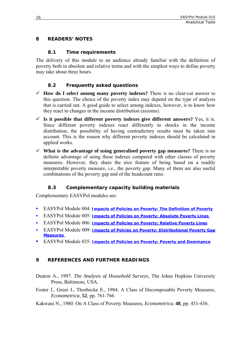# <span id="page-19-0"></span>**8 READERS' NOTES**

# **8.1 Time requirements**

The delivery of this module to an audience already familiar with the definition of poverty both in absolute and relative terms and with the simplest ways to define poverty may take about three hours.

# **8.2 Frequently asked questions**

- $\checkmark$  How do I select among many poverty indexes? There is no clear-cut answer to this question. The choice of the poverty index may depend on the type of analysis that is carried out. A good guide to select among indexes, however, is to know how they react to changes in the income distribution (axioms).
- $\checkmark$  Is it possible that different poverty indexes give different answers? Yes, it is. Since different poverty indexes react differently to shocks in the income distribution, the possibility of having contradictory results must be taken into account. This is the reason why different poverty indexes should be calculated in applied works.
- $\checkmark$  What is the advantage of using generalised poverty gap measures? There is no definite advantage of using these indexes compared with other classes of poverty measures. However, they share the nice feature of being based on a readily interpretable poverty measure, i.e., the poverty gap. Many of them are also useful combinations of the poverty gap and of the headcount ratio.

# **8.3 Complementary capacity building materials**

Complementary EASYPol modules are:

- EASYPol Module 004: *[Impacts of Policies on Poverty: The Definition of Poverty](http://www.fao.org/docs/up/easypol/312/povanlys_defpov_004EN.pdf)*
- EASYPol Module 005: *[Impacts of Policies on Poverty: Absolute Poverty Lines](http://www.fao.org/docs/up/easypol/316/abslt_pov_lines_005EN.pdf)*
- EASYPol Module 006: *[Impacts of Policies on Poverty: Relative Poverty Lines](http://www.fao.org/docs/up/easypol/317/rel_pov_lines_006EN.pdf)*
- EASYPol Module 009: *[Impacts of Polcies on Poverty: Distributional Poverty Gap](http://www.fao.org/docs/up/easypol/322/distributional-pvmsrs_009EN.pdf)  [Measures](http://www.fao.org/docs/up/easypol/322/distributional-pvmsrs_009EN.pdf)*
- EASYPol Module 035: *[Impacts of Policies on Poverty: Poverty and Dominance](http://www.fao.org/docs/up/easypol/328/povety&dominance_035EN.pdf)*

# **9 REFERENCES AND FURTHER READINGS**

Deaton A., 1997. *The Analysis of Household Surveys*, The Johns Hopkins University Press, Baltimore, USA.

Foster J., Greer J., Thorbecke E., 1984. A Class of Decomposable Poverty Measures, *Econometrica*, **52**, pp. 761-766.

Kakwani N., 1980. On A Class of Poverty Measures, *Econometrica*, **48**, pp. 431-436.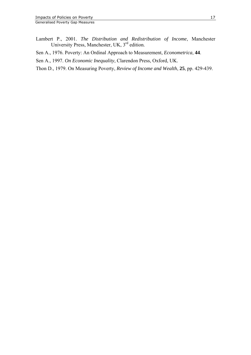- Lambert P., 2001. *The Distribution and Redistribution of Income*, Manchester University Press, Manchester, UK, 3<sup>rd</sup> edition.
- Sen A., 1976. Poverty: An Ordinal Approach to Measurement, *Econometrica*, **44**.
- Sen A., 1997. *On Economic Inequality*, Clarendon Press, Oxford, UK.
- Thon D., 1979. On Measuring Poverty, *Review of Income and Wealth*, **25**, pp. 429-439.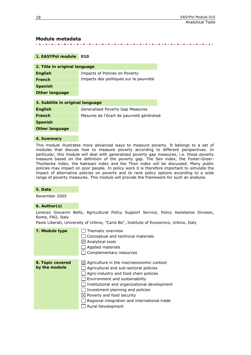#### **Module metadata**

. **. . . . . . . . . . . .** . . 经货币的 医子宫下颌 医皮肤皮肤 医血清性血清 医肠血清 医肠室 医施尔特氏病 医假子宫炎

#### **1. EASYPol module 010**

| 2. Title in original language    |                                           |  |  |  |  |
|----------------------------------|-------------------------------------------|--|--|--|--|
| <b>English</b>                   | Impacts of Policies on Poverty            |  |  |  |  |
| <b>French</b>                    | Impacts des politiques sur la pauvreté    |  |  |  |  |
| <b>Spanish</b>                   |                                           |  |  |  |  |
| <b>Other language</b>            |                                           |  |  |  |  |
| 3. Subtitle in original language |                                           |  |  |  |  |
|                                  |                                           |  |  |  |  |
| <b>English</b>                   | Generalised Poverty Gap Measures          |  |  |  |  |
| <b>French</b>                    | Mesures de l'écart de pauvreté généralisé |  |  |  |  |
| Spanish                          |                                           |  |  |  |  |

**Other language** 

#### **4. Summary**

This module illustrates more advanced ways to measure poverty. It belongs to a set of modules that discuss how to measure poverty according to different perspectives. In particular, this module will deal with generalised poverty gap measures, i.e. those poverty measure based on the definition of the poverty gap. The Sen index, the Foster-Greer-Thorbecke index, the Kakwani index and the Thon index will be discussed. Many public policies may impact on poor people. In policy work it is therefore important to simulate the impact of alternative policies on poverty and to rank policy options according to a wide range of poverty measures. This module will provide the framework for such an analysis.

#### **5. Date**

November 2005

#### **6. Author(s)**

Lorenzo Giovanni Bellù, Agricultural Policy Support Service, Policy Assistance Division, Rome, FAO, Italy

Paolo Liberati, University of Urbino, "Carlo Bo", Institute of Economics, Urbino, Italy

| 7. Module type                    | Thematic overview<br>Conceptual and technical materials<br>$\boxtimes$ Analytical tools<br>Applied materials<br>Complementary resources                                                                                                                                                                                                                                     |
|-----------------------------------|-----------------------------------------------------------------------------------------------------------------------------------------------------------------------------------------------------------------------------------------------------------------------------------------------------------------------------------------------------------------------------|
| 8. Topic covered<br>by the module | $\boxtimes$ Agriculture in the macroeconomic context<br>Agricultural and sub-sectoral policies<br>Agro-industry and food chain policies<br>Environment and sustainability<br>Institutional and organizational development<br>Investment planning and policies<br>$\boxtimes$ Poverty and food security<br>Regional integration and international trade<br>Rural Development |